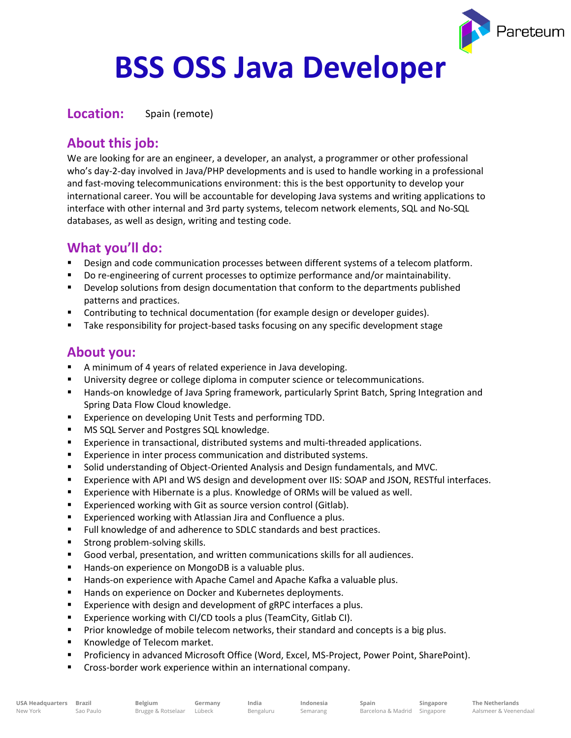# **BSS OSS Java Developer**

**Location:** Spain (remote)

## **About this job:**

We are looking for are an engineer, a developer, an analyst, a programmer or other professional who's day-2-day involved in Java/PHP developments and is used to handle working in a professional and fast-moving telecommunications environment: this is the best opportunity to develop your international career. You will be accountable for developing Java systems and writing applications to interface with other internal and 3rd party systems, telecom network elements, SQL and No-SQL databases, as well as design, writing and testing code.

### **What you'll do:**

- **•** Design and code communication processes between different systems of a telecom platform.
- Do re-engineering of current processes to optimize performance and/or maintainability.
- Develop solutions from design documentation that conform to the departments published patterns and practices.
- Contributing to technical documentation (for example design or developer guides).
- **■** Take responsibility for project-based tasks focusing on any specific development stage

#### **About you:**

- A minimum of 4 years of related experience in Java developing.
- **■** University degree or college diploma in computer science or telecommunications.
- Hands-on knowledge of Java Spring framework, particularly Sprint Batch, Spring Integration and Spring Data Flow Cloud knowledge.
- Experience on developing Unit Tests and performing TDD.
- MS SQL Server and Postgres SQL knowledge.
- Experience in transactional, distributed systems and multi-threaded applications.
- Experience in inter process communication and distributed systems.
- Solid understanding of Object-Oriented Analysis and Design fundamentals, and MVC.
- Experience with API and WS design and development over IIS: SOAP and JSON, RESTful interfaces.
- **EXPERIENCE WITH HIST LATE IS A PARK IS A POST AT A LATE IS A** FORMS will be valued as well.
- Experienced working with Git as source version control (Gitlab).
- Experienced working with Atlassian Jira and Confluence a plus.
- Full knowledge of and adherence to SDLC standards and best practices.
- Strong problem-solving skills.
- Good verbal, presentation, and written communications skills for all audiences.
- Hands-on experience on MongoDB is a valuable plus.
- Hands-on experience with Apache Camel and Apache Kafka a valuable plus.
- Hands on experience on Docker and Kubernetes deployments.
- Experience with design and development of gRPC interfaces a plus.
- Experience working with CI/CD tools a plus (TeamCity, Gitlab CI).
- **•** Prior knowledge of mobile telecom networks, their standard and concepts is a big plus.
- Knowledge of Telecom market.
- Proficiency in advanced Microsoft Office (Word, Excel, MS-Project, Power Point, SharePoint).
- Cross-border work experience within an international company.

<sup>p</sup>areteum